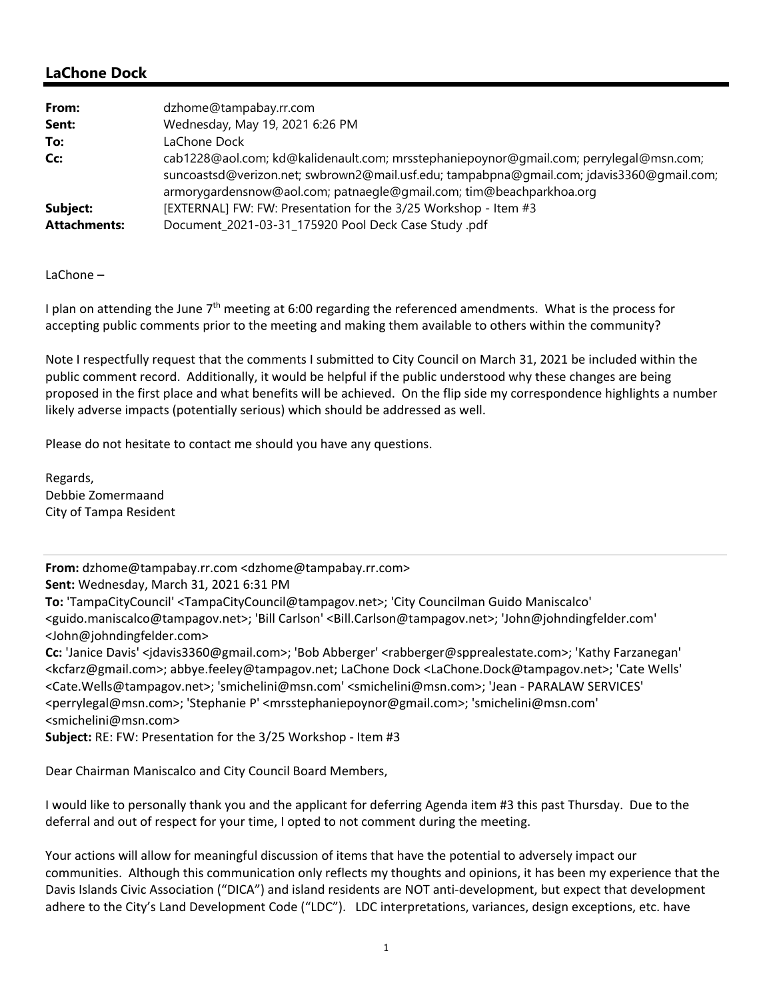### **LaChone Dock**

| From:               | dzhome@tampabay.rr.com                                                                    |
|---------------------|-------------------------------------------------------------------------------------------|
| Sent:               | Wednesday, May 19, 2021 6:26 PM                                                           |
| To:                 | LaChone Dock                                                                              |
| Cc:                 | cab1228@aol.com; kd@kalidenault.com; mrsstephaniepoynor@gmail.com; perrylegal@msn.com;    |
|                     | suncoastsd@verizon.net; swbrown2@mail.usf.edu; tampabpna@qmail.com; jdavis3360@qmail.com; |
|                     | armorygardensnow@aol.com; patnaegle@gmail.com; tim@beachparkhoa.org                       |
| Subject:            | [EXTERNAL] FW: FW: Presentation for the 3/25 Workshop - Item #3                           |
| <b>Attachments:</b> | Document_2021-03-31_175920 Pool Deck Case Study .pdf                                      |

LaChone –

I plan on attending the June  $7<sup>th</sup>$  meeting at 6:00 regarding the referenced amendments. What is the process for accepting public comments prior to the meeting and making them available to others within the community?

 proposed in the first place and what benefits will be achieved. On the flip side my correspondence highlights a number Note I respectfully request that the comments I submitted to City Council on March 31, 2021 be included within the public comment record. Additionally, it would be helpful if the public understood why these changes are being likely adverse impacts (potentially serious) which should be addressed as well.

Please do not hesitate to contact me should you have any questions.

Regards, Debbie Zomermaand City of Tampa Resident

**From:** dzhome@tampabay.rr.com <dzhome@tampabay.rr.com>

**Sent:** Wednesday, March 31, 2021 6:31 PM

**To:** 'TampaCityCouncil' <TampaCityCouncil@tampagov.net>; 'City Councilman Guido Maniscalco' <guido.maniscalco@tampagov.net>; 'Bill Carlson' <Bill.Carlson@tampagov.net>; 'John@johndingfelder.com' <John@johndingfelder.com>

**Cc:** 'Janice Davis' <jdavis3360@gmail.com>; 'Bob Abberger' <rabberger@spprealestate.com>; 'Kathy Farzanegan' <kcfarz@gmail.com>; abbye.feeley@tampagov.net; LaChone Dock <LaChone.Dock@tampagov.net>; 'Cate Wells' <Cate.Wells@tampagov.net>; 'smichelini@msn.com' <smichelini@msn.com>; 'Jean ‐ PARALAW SERVICES' <perrylegal@msn.com>; 'Stephanie P' <mrsstephaniepoynor@gmail.com>; 'smichelini@msn.com' <smichelini@msn.com>

**Subject:** RE: FW: Presentation for the 3/25 Workshop ‐ Item #3

Dear Chairman Maniscalco and City Council Board Members,

 I would like to personally thank you and the applicant for deferring Agenda item #3 this past Thursday. Due to the deferral and out of respect for your time, I opted to not comment during the meeting.

 Davis Islands Civic Association ("DICA") and island residents are NOT anti‐development, but expect that development Your actions will allow for meaningful discussion of items that have the potential to adversely impact our communities. Although this communication only reflects my thoughts and opinions, it has been my experience that the adhere to the City's Land Development Code ("LDC"). LDC interpretations, variances, design exceptions, etc. have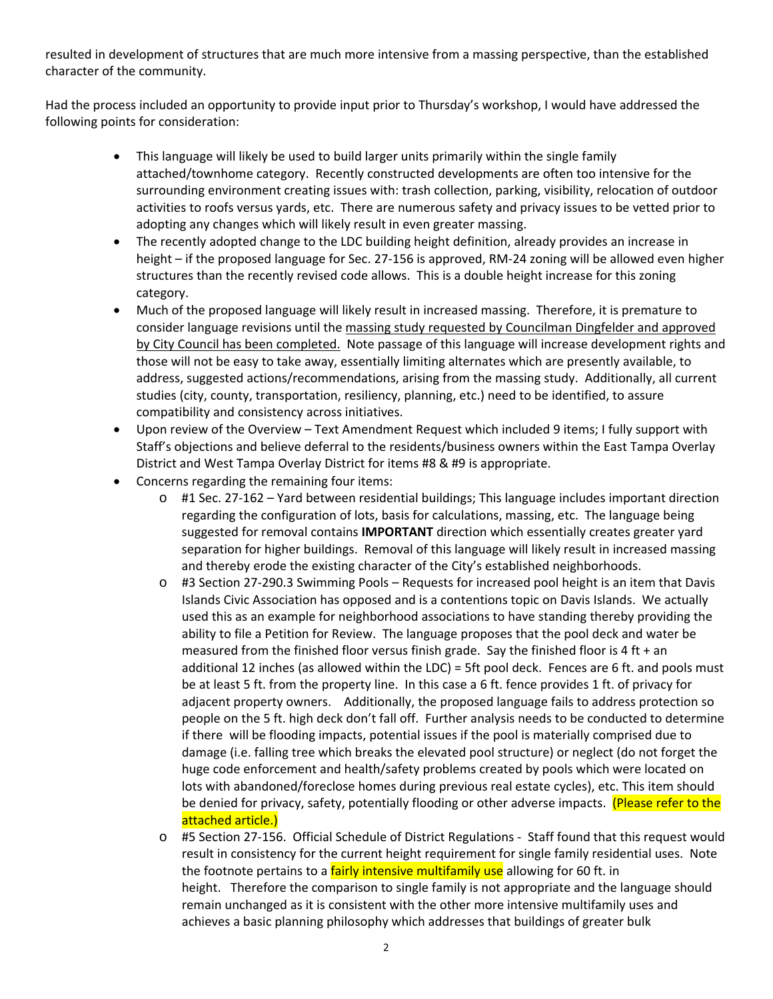resulted in development of structures that are much more intensive from a massing perspective, than the established character of the community.

Had the process included an opportunity to provide input prior to Thursday's workshop, I would have addressed the following points for consideration:

- attached/townhome category. Recently constructed developments are often too intensive for the This language will likely be used to build larger units primarily within the single family surrounding environment creating issues with: trash collection, parking, visibility, relocation of outdoor activities to roofs versus yards, etc. There are numerous safety and privacy issues to be vetted prior to adopting any changes which will likely result in even greater massing.
- The recently adopted change to the LDC building height definition, already provides an increase in height – if the proposed language for Sec. 27‐156 is approved, RM‐24 zoning will be allowed even higher structures than the recently revised code allows. This is a double height increase for this zoning category.
- consider language revisions until the massing study requested by Councilman Dingfelder and approved Much of the proposed language will likely result in increased massing. Therefore, it is premature to by City Council has been completed. Note passage of this language will increase development rights and those will not be easy to take away, essentially limiting alternates which are presently available, to address, suggested actions/recommendations, arising from the massing study. Additionally, all current studies (city, county, transportation, resiliency, planning, etc.) need to be identified, to assure compatibility and consistency across initiatives.
- Upon review of the Overview Text Amendment Request which included 9 items; I fully support with Staff's objections and believe deferral to the residents/business owners within the East Tampa Overlay District and West Tampa Overlay District for items #8 & #9 is appropriate.
- Concerns regarding the remaining four items:
	- regarding the configuration of lots, basis for calculations, massing, etc. The language being o #1 Sec. 27‐162 – Yard between residential buildings; This language includes important direction suggested for removal contains **IMPORTANT** direction which essentially creates greater yard separation for higher buildings. Removal of this language will likely result in increased massing and thereby erode the existing character of the City's established neighborhoods.
	- adjacent property owners. Additionally, the proposed language fails to address protection so be at least 5 ft. from the property line. In this case a 6 ft. fence provides 1 ft. of privacy for o #3 Section 27‐290.3 Swimming Pools – Requests for increased pool height is an item that Davis Islands Civic Association has opposed and is a contentions topic on Davis Islands. We actually used this as an example for neighborhood associations to have standing thereby providing the ability to file a Petition for Review. The language proposes that the pool deck and water be measured from the finished floor versus finish grade. Say the finished floor is 4 ft  $+$  an additional 12 inches (as allowed within the LDC) = 5ft pool deck. Fences are 6 ft. and pools must people on the 5 ft. high deck don't fall off. Further analysis needs to be conducted to determine if there will be flooding impacts, potential issues if the pool is materially comprised due to damage (i.e. falling tree which breaks the elevated pool structure) or neglect (do not forget the huge code enforcement and health/safety problems created by pools which were located on lots with abandoned/foreclose homes during previous real estate cycles), etc. This item should be denied for privacy, safety, potentially flooding or other adverse impacts. (Please refer to the attached article.)
	- result in consistency for the current height requirement for single family residential uses. Note o #5 Section 27‐156. Official Schedule of District Regulations ‐ Staff found that this request would the footnote pertains to a **fairly intensive multifamily use** allowing for 60 ft. in height. Therefore the comparison to single family is not appropriate and the language should remain unchanged as it is consistent with the other more intensive multifamily uses and achieves a basic planning philosophy which addresses that buildings of greater bulk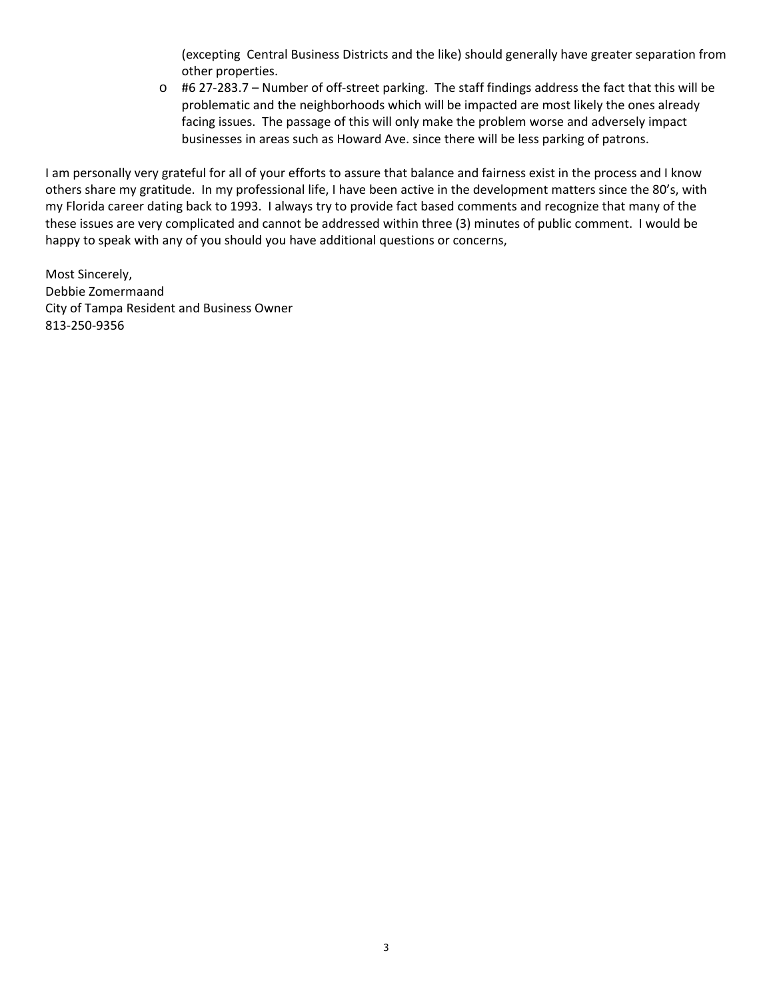(excepting Central Business Districts and the like) should generally have greater separation from other properties.

o #6 27‐283.7 – Number of off‐street parking. The staff findings address the fact that this will be problematic and the neighborhoods which will be impacted are most likely the ones already facing issues. The passage of this will only make the problem worse and adversely impact businesses in areas such as Howard Ave. since there will be less parking of patrons.

 others share my gratitude. In my professional life, I have been active in the development matters since the 80's, with I am personally very grateful for all of your efforts to assure that balance and fairness exist in the process and I know my Florida career dating back to 1993. I always try to provide fact based comments and recognize that many of the these issues are very complicated and cannot be addressed within three (3) minutes of public comment. I would be happy to speak with any of you should you have additional questions or concerns,

Most Sincerely, Debbie Zomermaand City of Tampa Resident and Business Owner 813‐250‐9356